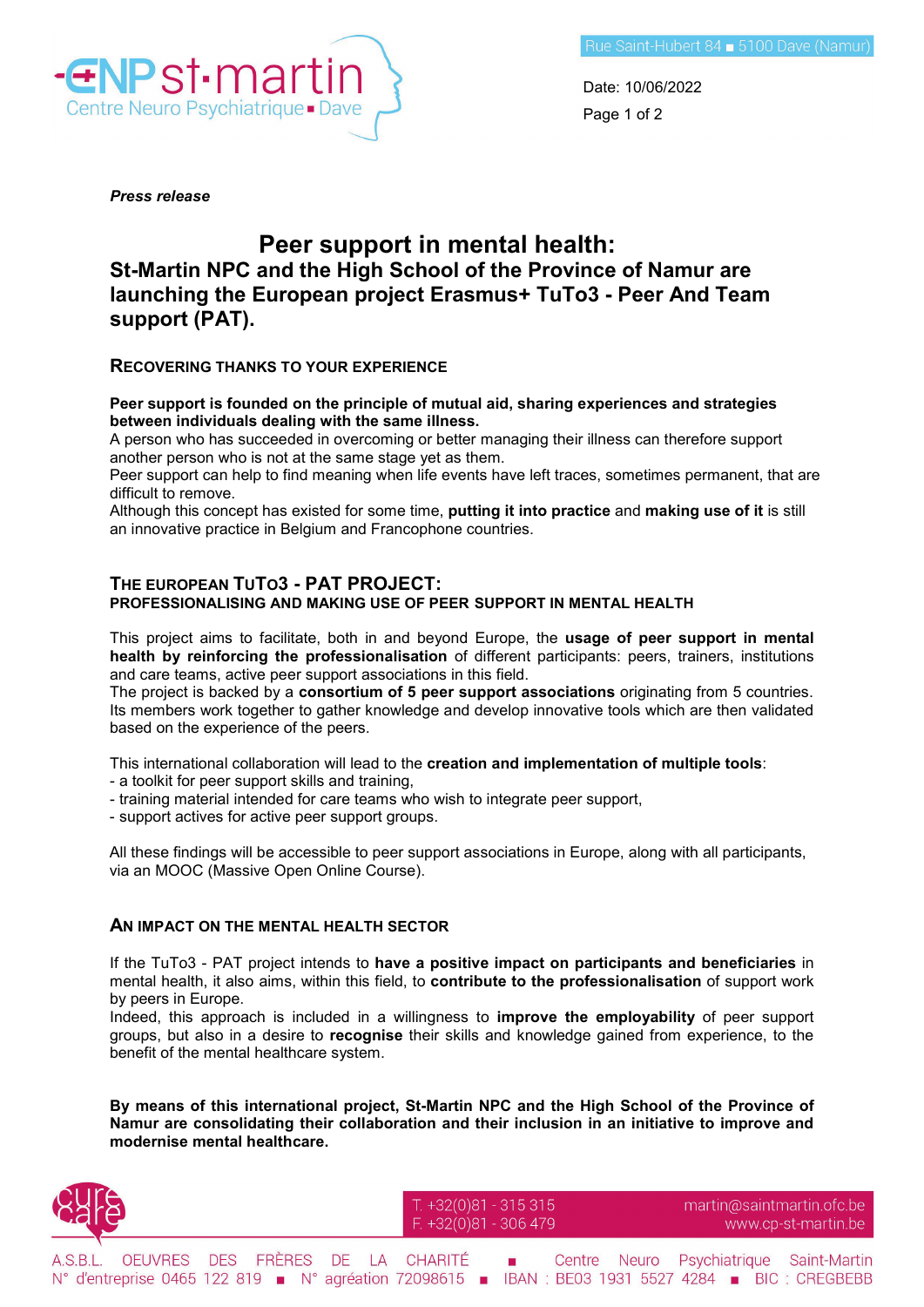

Date: 10/06/2022 Page 1 of 2

*Press release*

# **Peer support in mental health: St-Martin NPC and the High School of the Province of Namur are launching the European project Erasmus+ TuTo3 - Peer And Team support (PAT).**

**RECOVERING THANKS TO YOUR EXPERIENCE**

#### **Peer support is founded on the principle of mutual aid, sharing experiences and strategies between individuals dealing with the same illness.**

A person who has succeeded in overcoming or better managing their illness can therefore support another person who is not at the same stage yet as them.

Peer support can help to find meaning when life events have left traces, sometimes permanent, that are difficult to remove.

Although this concept has existed for some time, **putting it into practice** and **making use of it** is still an innovative practice in Belgium and Francophone countries.

## **THE EUROPEAN TUTO3 - PAT PROJECT: PROFESSIONALISING AND MAKING USE OF PEER SUPPORT IN MENTAL HEALTH**

This project aims to facilitate, both in and beyond Europe, the **usage of peer support in mental health by reinforcing the professionalisation** of different participants: peers, trainers, institutions and care teams, active peer support associations in this field.

The project is backed by a **consortium of 5 peer support associations** originating from 5 countries. Its members work together to gather knowledge and develop innovative tools which are then validated based on the experience of the peers.

This international collaboration will lead to the **creation and implementation of multiple tools**:

- a toolkit for peer support skills and training,
- training material intended for care teams who wish to integrate peer support,
- support actives for active peer support groups.

All these findings will be accessible to peer support associations in Europe, along with all participants, via an MOOC (Massive Open Online Course).

## **AN IMPACT ON THE MENTAL HEALTH SECTOR**

If the TuTo3 - PAT project intends to **have a positive impact on participants and beneficiaries** in mental health, it also aims, within this field, to **contribute to the professionalisation** of support work by peers in Europe.

Indeed, this approach is included in a willingness to **improve the employability** of peer support groups, but also in a desire to **recognise** their skills and knowledge gained from experience, to the benefit of the mental healthcare system.

**By means of this international project, St-Martin NPC and the High School of the Province of Namur are consolidating their collaboration and their inclusion in an initiative to improve and modernise mental healthcare.**



 $+32(0)81 - 315315$ +32(0)81 - 306 479

martin@saintmartin.ofc.be www.cp-st-martin.be

A.S.B.L. OEUVRES DES FRÈRES DE LA CHARITÉ  $\mathcal{L}_{\mathcal{A}}$ Centre Neuro Psychiatrique Saint-Martin N° d'entreprise 0465 122 819 · N° agréation 72098615 · IBAN : BE03 1931 5527 4284 · BIC : CREGBEBB